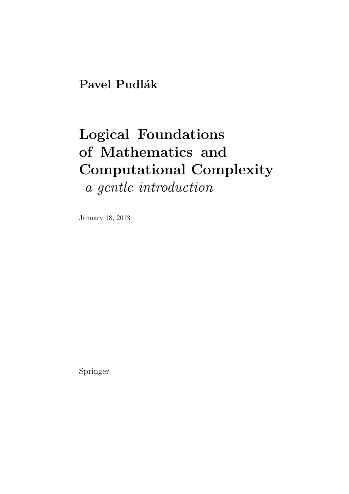## Pavel Pudlák

# Logical Foundations of Mathematics and Computational Complexity

a gentle introduction

January 18, 2013

Springer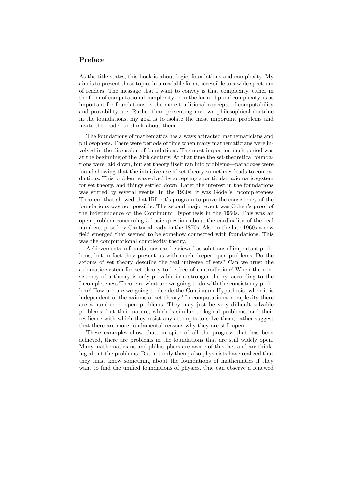#### Preface

As the title states, this book is about logic, foundations and complexity. My aim is to present these topics in a readable form, accessible to a wide spectrum of readers. The message that I want to convey is that complexity, either in the form of computational complexity or in the form of proof complexity, is as important for foundations as the more traditional concepts of computability and provability are. Rather than presenting my own philosophical doctrine in the foundations, my goal is to isolate the most important problems and invite the reader to think about them.

The foundations of mathematics has always attracted mathematicians and philosophers. There were periods of time when many mathematicians were involved in the discussion of foundations. The most important such period was at the beginning of the 20th century. At that time the set-theoretical foundations were laid down, but set theory itself ran into problems—paradoxes were found showing that the intuitive use of set theory sometimes leads to contradictions. This problem was solved by accepting a particular axiomatic system for set theory, and things settled down. Later the interest in the foundations was stirred by several events. In the 1930s, it was Gödel's Incompleteness Theorem that showed that Hilbert's program to prove the consistency of the foundations was not possible. The second major event was Cohen's proof of the independence of the Continuum Hypothesis in the 1960s. This was an open problem concerning a basic question about the cardinality of the real numbers, posed by Cantor already in the 1870s. Also in the late 1960s a new field emerged that seemed to be somehow connected with foundations. This was the computational complexity theory.

Achievements in foundations can be viewed as solutions of important problems, but in fact they present us with much deeper open problems. Do the axioms of set theory describe the real universe of sets? Can we trust the axiomatic system for set theory to be free of contradiction? When the consistency of a theory is only provable in a stronger theory, according to the Incompleteness Theorem, what are we going to do with the consistency problem? How are are we going to decide the Continuum Hypothesis, when it is independent of the axioms of set theory? In computational complexity there are a number of open problems. They may just be very difficult solvable problems, but their nature, which is similar to logical problems, and their resilience with which they resist any attempts to solve them, rather suggest that there are more fundamental reasons why they are still open.

These examples show that, in spite of all the progress that has been achieved, there are problems in the foundations that are still widely open. Many mathematicians and philosophers are aware of this fact and are thinking about the problems. But not only them; also physicists have realized that they must know something about the foundations of mathematics if they want to find the unified foundations of physics. One can observe a renewed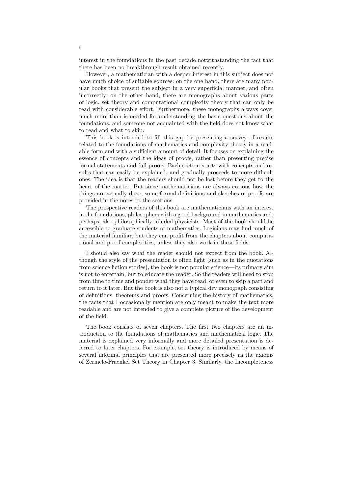interest in the foundations in the past decade notwithstanding the fact that there has been no breakthrough result obtained recently.

However, a mathematician with a deeper interest in this subject does not have much choice of suitable sources: on the one hand, there are many popular books that present the subject in a very superficial manner, and often incorrectly; on the other hand, there are monographs about various parts of logic, set theory and computational complexity theory that can only be read with considerable effort. Furthermore, these monographs always cover much more than is needed for understanding the basic questions about the foundations, and someone not acquainted with the field does not know what to read and what to skip.

This book is intended to fill this gap by presenting a survey of results related to the foundations of mathematics and complexity theory in a readable form and with a sufficient amount of detail. It focuses on explaining the essence of concepts and the ideas of proofs, rather than presenting precise formal statements and full proofs. Each section starts with concepts and results that can easily be explained, and gradually proceeds to more difficult ones. The idea is that the readers should not be lost before they get to the heart of the matter. But since mathematicians are always curious how the things are actually done, some formal definitions and sketches of proofs are provided in the notes to the sections.

The prospective readers of this book are mathematicians with an interest in the foundations, philosophers with a good background in mathematics and, perhaps, also philosophically minded physicists. Most of the book should be accessible to graduate students of mathematics. Logicians may find much of the material familiar, but they can profit from the chapters about computational and proof complexities, unless they also work in these fields.

I should also say what the reader should not expect from the book. Although the style of the presentation is often light (such as in the quotations from science fiction stories), the book is not popular science—its primary aim is not to entertain, but to educate the reader. So the readers will need to stop from time to time and ponder what they have read, or even to skip a part and return to it later. But the book is also not a typical dry monograph consisting of definitions, theorems and proofs. Concerning the history of mathematics, the facts that I occasionally mention are only meant to make the text more readable and are not intended to give a complete picture of the development of the field.

The book consists of seven chapters. The first two chapters are an introduction to the foundations of mathematics and mathematical logic. The material is explained very informally and more detailed presentation is deferred to later chapters. For example, set theory is introduced by means of several informal principles that are presented more precisely as the axioms of Zermelo-Fraenkel Set Theory in Chapter 3. Similarly, the Incompleteness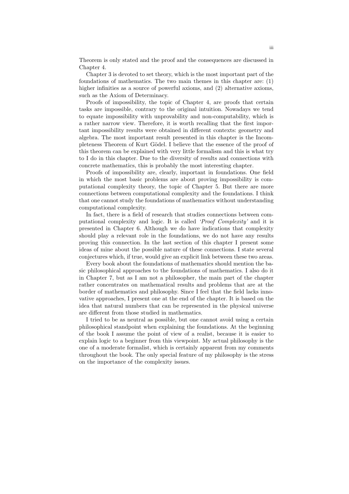Theorem is only stated and the proof and the consequences are discussed in Chapter 4.

Chapter 3 is devoted to set theory, which is the most important part of the foundations of mathematics. The two main themes in this chapter are: (1) higher infinities as a source of powerful axioms, and (2) alternative axioms, such as the Axiom of Determinacy.

Proofs of impossibility, the topic of Chapter 4, are proofs that certain tasks are impossible, contrary to the original intuition. Nowadays we tend to equate impossibility with unprovability and non-computability, which is a rather narrow view. Therefore, it is worth recalling that the first important impossibility results were obtained in different contexts: geometry and algebra. The most important result presented in this chapter is the Incompleteness Theorem of Kurt Gödel. I believe that the essence of the proof of this theorem can be explained with very little formalism and this is what try to I do in this chapter. Due to the diversity of results and connections with concrete mathematics, this is probably the most interesting chapter.

Proofs of impossibility are, clearly, important in foundations. One field in which the most basic problems are about proving impossibility is computational complexity theory, the topic of Chapter 5. But there are more connections between computational complexity and the foundations. I think that one cannot study the foundations of mathematics without understanding computational complexity.

In fact, there is a field of research that studies connections between computational complexity and logic. It is called 'Proof Complexity' and it is presented in Chapter 6. Although we do have indications that complexity should play a relevant role in the foundations, we do not have any results proving this connection. In the last section of this chapter I present some ideas of mine about the possible nature of these connections. I state several conjectures which, if true, would give an explicit link between these two areas.

Every book about the foundations of mathematics should mention the basic philosophical approaches to the foundations of mathematics. I also do it in Chapter 7, but as I am not a philosopher, the main part of the chapter rather concentrates on mathematical results and problems that are at the border of mathematics and philosophy. Since I feel that the field lacks innovative approaches, I present one at the end of the chapter. It is based on the idea that natural numbers that can be represented in the physical universe are different from those studied in mathematics.

I tried to be as neutral as possible, but one cannot avoid using a certain philosophical standpoint when explaining the foundations. At the beginning of the book I assume the point of view of a realist, because it is easier to explain logic to a beginner from this viewpoint. My actual philosophy is the one of a moderate formalist, which is certainly apparent from my comments throughout the book. The only special feature of my philosophy is the stress on the importance of the complexity issues.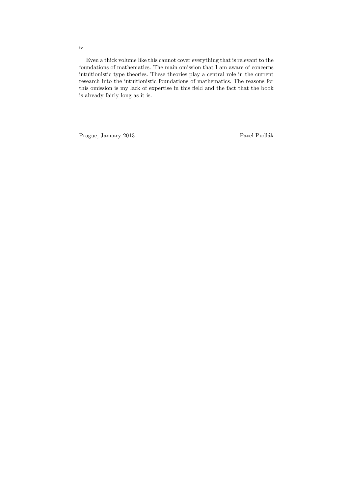Even a thick volume like this cannot cover everything that is relevant to the foundations of mathematics. The main omission that I am aware of concerns intuitionistic type theories. These theories play a central role in the current research into the intuitionistic foundations of mathematics. The reasons for this omission is my lack of expertise in this field and the fact that the book is already fairly long as it is.

Prague, January 2013 Pavel Pudlák

iv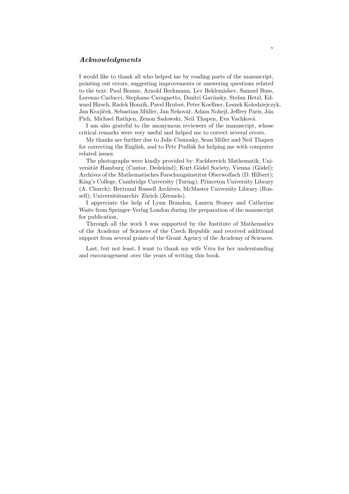#### Acknowledgments

I would like to thank all who helped me by reading parts of the manuscript, pointing out errors, suggesting improvements or answering questions related to the text: Paul Beame, Arnold Beckmann, Lev Beklemishev, Samuel Buss, Lorenzo Carlucci, Stephano Cavagnetto, Dmitri Gavinsky, Stefan Hetzl, Edward Hirsch, Radek Honzík, Pavel Hrubeš, Peter Koellner, Leszek Kolodziejczyk, Jan Krajíček, Sebastian Müller, Jan Nekovář, Adam Nohejl, Jeffrey Paris, Ján Pich, Michael Rathjen, Zenon Sadowski, Neil Thapen, Eva Vachková.

I am also grateful to the anonymous reviewers of the manuscript, whose critical remarks were very useful and helped me to correct several errors.

My thanks are further due to Julie Cismosky, Sean Miller and Neil Thapen for correcting the English, and to Petr Pudlák for helping me with computer related issues.

The photographs were kindly provided by: Fachbereich Mathematik, Universität Hamburg (Cantor, Dedekind); Kurt Gödel Society, Vienna (Gödel); Archives of the Mathematisches Forschungsinstitut Oberwolfach (D. Hilbert); King's College, Cambridge University (Turing); Princeton University Library (A. Church); Bertrand Russell Archives, McMaster University Library (Russell); Universitätsarchiv Zürich (Zermelo).

I appreciate the help of Lynn Brandon, Lauren Stoney and Catherine Waite from Springer-Verlag London during the preparation of the manuscript for publication.

Through all the work I was supported by the Institute of Mathematics of the Academy of Sciences of the Czech Republic and received additional support from several grants of the Grant Agency of the Academy of Sciences.

Last, but not least, I want to thank my wife Věra for her understanding and encouragement over the years of writing this book.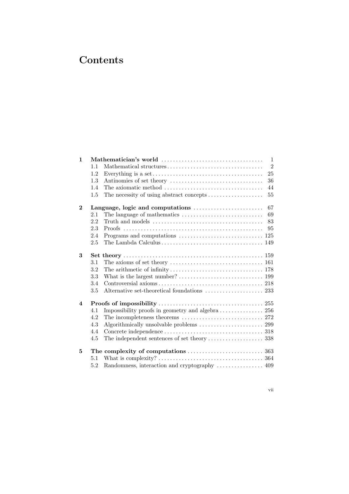### **Contents**

| $\mathbf{1}$            |                                        | $\overline{1}$<br>Mathematician's world $\dots\dots\dots\dots\dots\dots\dots\dots\dots\dots\dots\dots\dots$ |  |  |
|-------------------------|----------------------------------------|-------------------------------------------------------------------------------------------------------------|--|--|
|                         | 1.1                                    | $\overline{2}$                                                                                              |  |  |
|                         | 1.2                                    | 25                                                                                                          |  |  |
|                         | 1.3                                    | 36                                                                                                          |  |  |
|                         | 1.4                                    | 44                                                                                                          |  |  |
|                         | 1.5                                    | The necessity of using abstract concepts<br>55                                                              |  |  |
| $\bf{2}$                | 67<br>Language, logic and computations |                                                                                                             |  |  |
|                         | 2.1                                    | 69                                                                                                          |  |  |
|                         | 2.2                                    | 83                                                                                                          |  |  |
|                         | 2.3                                    | 95                                                                                                          |  |  |
|                         | 2.4                                    |                                                                                                             |  |  |
|                         | 2.5                                    | The Lambda Calculus $\ldots \ldots \ldots \ldots \ldots \ldots \ldots \ldots \ldots \ldots \ldots$ 149      |  |  |
| 3                       |                                        |                                                                                                             |  |  |
|                         | 3.1                                    |                                                                                                             |  |  |
|                         | 3.2                                    |                                                                                                             |  |  |
|                         | 3.3                                    |                                                                                                             |  |  |
|                         | 3.4                                    |                                                                                                             |  |  |
|                         | $3.5\,$                                |                                                                                                             |  |  |
| $\overline{\mathbf{4}}$ |                                        |                                                                                                             |  |  |
|                         | 4.1                                    |                                                                                                             |  |  |
|                         | 4.2                                    |                                                                                                             |  |  |
|                         | 4.3                                    |                                                                                                             |  |  |
|                         | 4.4                                    |                                                                                                             |  |  |
|                         | 4.5                                    |                                                                                                             |  |  |
| 5                       |                                        |                                                                                                             |  |  |
|                         | 5.1                                    |                                                                                                             |  |  |
|                         | 5.2                                    | Randomness, interaction and cryptography  409                                                               |  |  |

vii